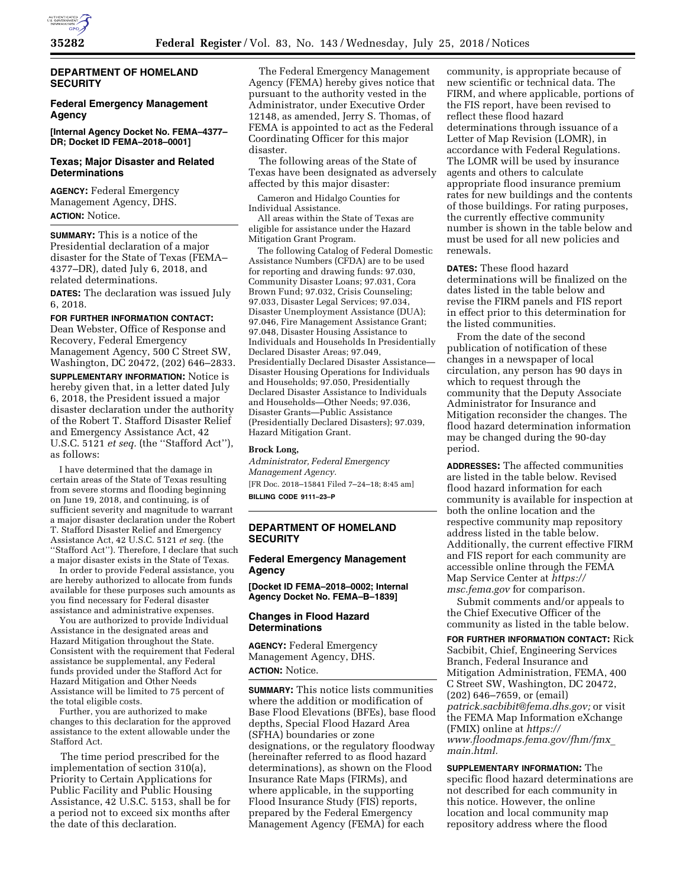

# **DEPARTMENT OF HOMELAND SECURITY**

## **Federal Emergency Management Agency**

**[Internal Agency Docket No. FEMA–4377– DR; Docket ID FEMA–2018–0001]** 

## **Texas; Major Disaster and Related Determinations**

**AGENCY:** Federal Emergency Management Agency, DHS. **ACTION:** Notice.

**SUMMARY:** This is a notice of the Presidential declaration of a major disaster for the State of Texas (FEMA– 4377–DR), dated July 6, 2018, and related determinations.

**DATES:** The declaration was issued July 6, 2018.

#### **FOR FURTHER INFORMATION CONTACT:**

Dean Webster, Office of Response and Recovery, Federal Emergency Management Agency, 500 C Street SW, Washington, DC 20472, (202) 646–2833.

**SUPPLEMENTARY INFORMATION:** Notice is hereby given that, in a letter dated July 6, 2018, the President issued a major disaster declaration under the authority of the Robert T. Stafford Disaster Relief and Emergency Assistance Act, 42 U.S.C. 5121 *et seq.* (the ''Stafford Act''), as follows:

I have determined that the damage in certain areas of the State of Texas resulting from severe storms and flooding beginning on June 19, 2018, and continuing, is of sufficient severity and magnitude to warrant a major disaster declaration under the Robert T. Stafford Disaster Relief and Emergency Assistance Act, 42 U.S.C. 5121 *et seq.* (the ''Stafford Act''). Therefore, I declare that such a major disaster exists in the State of Texas.

In order to provide Federal assistance, you are hereby authorized to allocate from funds available for these purposes such amounts as you find necessary for Federal disaster assistance and administrative expenses.

You are authorized to provide Individual Assistance in the designated areas and Hazard Mitigation throughout the State. Consistent with the requirement that Federal assistance be supplemental, any Federal funds provided under the Stafford Act for Hazard Mitigation and Other Needs Assistance will be limited to 75 percent of the total eligible costs.

Further, you are authorized to make changes to this declaration for the approved assistance to the extent allowable under the Stafford Act.

The time period prescribed for the implementation of section 310(a), Priority to Certain Applications for Public Facility and Public Housing Assistance, 42 U.S.C. 5153, shall be for a period not to exceed six months after the date of this declaration.

The Federal Emergency Management Agency (FEMA) hereby gives notice that pursuant to the authority vested in the Administrator, under Executive Order 12148, as amended, Jerry S. Thomas, of FEMA is appointed to act as the Federal Coordinating Officer for this major disaster.

The following areas of the State of Texas have been designated as adversely affected by this major disaster:

Cameron and Hidalgo Counties for Individual Assistance.

All areas within the State of Texas are eligible for assistance under the Hazard Mitigation Grant Program.

The following Catalog of Federal Domestic Assistance Numbers (CFDA) are to be used for reporting and drawing funds: 97.030, Community Disaster Loans; 97.031, Cora Brown Fund; 97.032, Crisis Counseling; 97.033, Disaster Legal Services; 97.034, Disaster Unemployment Assistance (DUA); 97.046, Fire Management Assistance Grant; 97.048, Disaster Housing Assistance to Individuals and Households In Presidentially Declared Disaster Areas; 97.049, Presidentially Declared Disaster Assistance— Disaster Housing Operations for Individuals and Households; 97.050, Presidentially Declared Disaster Assistance to Individuals and Households—Other Needs; 97.036, Disaster Grants—Public Assistance (Presidentially Declared Disasters); 97.039, Hazard Mitigation Grant.

## **Brock Long,**

*Administrator, Federal Emergency Management Agency.*  [FR Doc. 2018–15841 Filed 7–24–18; 8:45 am]

**BILLING CODE 9111–23–P** 

# **DEPARTMENT OF HOMELAND SECURITY**

## **Federal Emergency Management Agency**

**[Docket ID FEMA–2018–0002; Internal Agency Docket No. FEMA–B–1839]** 

# **Changes in Flood Hazard Determinations**

**AGENCY:** Federal Emergency Management Agency, DHS. **ACTION:** Notice.

**SUMMARY:** This notice lists communities where the addition or modification of Base Flood Elevations (BFEs), base flood depths, Special Flood Hazard Area (SFHA) boundaries or zone designations, or the regulatory floodway (hereinafter referred to as flood hazard determinations), as shown on the Flood Insurance Rate Maps (FIRMs), and where applicable, in the supporting Flood Insurance Study (FIS) reports, prepared by the Federal Emergency Management Agency (FEMA) for each

community, is appropriate because of new scientific or technical data. The FIRM, and where applicable, portions of the FIS report, have been revised to reflect these flood hazard determinations through issuance of a Letter of Map Revision (LOMR), in accordance with Federal Regulations. The LOMR will be used by insurance agents and others to calculate appropriate flood insurance premium rates for new buildings and the contents of those buildings. For rating purposes, the currently effective community number is shown in the table below and must be used for all new policies and renewals.

**DATES:** These flood hazard determinations will be finalized on the dates listed in the table below and revise the FIRM panels and FIS report in effect prior to this determination for the listed communities.

From the date of the second publication of notification of these changes in a newspaper of local circulation, any person has 90 days in which to request through the community that the Deputy Associate Administrator for Insurance and Mitigation reconsider the changes. The flood hazard determination information may be changed during the 90-day period.

**ADDRESSES:** The affected communities are listed in the table below. Revised flood hazard information for each community is available for inspection at both the online location and the respective community map repository address listed in the table below. Additionally, the current effective FIRM and FIS report for each community are accessible online through the FEMA Map Service Center at *[https://](https://msc.fema.gov) [msc.fema.gov](https://msc.fema.gov)* for comparison.

Submit comments and/or appeals to the Chief Executive Officer of the community as listed in the table below.

**FOR FURTHER INFORMATION CONTACT:** Rick Sacbibit, Chief, Engineering Services Branch, Federal Insurance and Mitigation Administration, FEMA, 400 C Street SW, Washington, DC 20472, (202) 646–7659, or (email) *[patrick.sacbibit@fema.dhs.gov;](mailto:patrick.sacbibit@fema.dhs.gov)* or visit the FEMA Map Information eXchange (FMIX) online at *[https://](https://www.floodmaps.fema.gov/fhm/fmx_main.html) [www.floodmaps.fema.gov/fhm/fmx](https://www.floodmaps.fema.gov/fhm/fmx_main.html)*\_ *[main.html.](https://www.floodmaps.fema.gov/fhm/fmx_main.html)* 

**SUPPLEMENTARY INFORMATION:** The specific flood hazard determinations are not described for each community in this notice. However, the online location and local community map repository address where the flood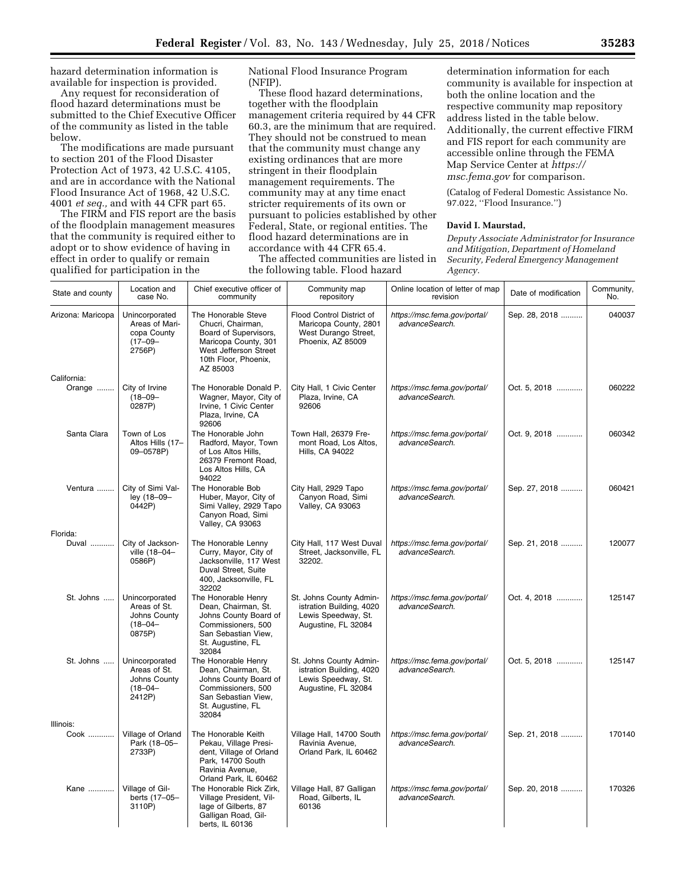hazard determination information is available for inspection is provided.

Any request for reconsideration of flood hazard determinations must be submitted to the Chief Executive Officer of the community as listed in the table below.

The modifications are made pursuant to section 201 of the Flood Disaster Protection Act of 1973, 42 U.S.C. 4105, and are in accordance with the National Flood Insurance Act of 1968, 42 U.S.C. 4001 *et seq.,* and with 44 CFR part 65.

The FIRM and FIS report are the basis of the floodplain management measures that the community is required either to adopt or to show evidence of having in effect in order to qualify or remain qualified for participation in the

National Flood Insurance Program (NFIP).

These flood hazard determinations, together with the floodplain management criteria required by 44 CFR 60.3, are the minimum that are required. They should not be construed to mean that the community must change any existing ordinances that are more stringent in their floodplain management requirements. The community may at any time enact stricter requirements of its own or pursuant to policies established by other Federal, State, or regional entities. The flood hazard determinations are in accordance with 44 CFR 65.4.

The affected communities are listed in the following table. Flood hazard

determination information for each community is available for inspection at both the online location and the respective community map repository address listed in the table below. Additionally, the current effective FIRM and FIS report for each community are accessible online through the FEMA Map Service Center at *[https://](https://msc.fema.gov) [msc.fema.gov](https://msc.fema.gov)* for comparison.

(Catalog of Federal Domestic Assistance No. 97.022, ''Flood Insurance.'')

## **David I. Maurstad,**

*Deputy Associate Administrator for Insurance and Mitigation, Department of Homeland Security, Federal Emergency Management Agency.* 

| State and county  | Location and<br>case No.                                                  | Chief executive officer of<br>community                                                                                                                | Community map<br>repository                                                                       | Online location of letter of map<br>revision   | Date of modification | Community,<br>No. |
|-------------------|---------------------------------------------------------------------------|--------------------------------------------------------------------------------------------------------------------------------------------------------|---------------------------------------------------------------------------------------------------|------------------------------------------------|----------------------|-------------------|
| Arizona: Maricopa | Unincorporated<br>Areas of Mari-<br>copa County<br>$(17 - 09 -$<br>2756P) | The Honorable Steve<br>Chucri, Chairman,<br>Board of Supervisors,<br>Maricopa County, 301<br>West Jefferson Street<br>10th Floor, Phoenix,<br>AZ 85003 | Flood Control District of<br>Maricopa County, 2801<br>West Durango Street,<br>Phoenix. AZ 85009   | https://msc.fema.gov/portal/<br>advanceSearch. | Sep. 28, 2018        | 040037            |
| California:       |                                                                           |                                                                                                                                                        |                                                                                                   |                                                |                      |                   |
| Orange            | City of Irvine<br>$(18 - 09 -$<br>0287P)                                  | The Honorable Donald P.<br>Wagner, Mayor, City of<br>Irvine, 1 Civic Center<br>Plaza, Irvine, CA<br>92606                                              | City Hall, 1 Civic Center<br>Plaza, Irvine, CA<br>92606                                           | https://msc.fema.gov/portal/<br>advanceSearch. | Oct. 5, 2018         | 060222            |
| Santa Clara       | Town of Los<br>Altos Hills (17-<br>09-0578P)                              | The Honorable John<br>Radford, Mayor, Town<br>of Los Altos Hills,<br>26379 Fremont Road,<br>Los Altos Hills, CA<br>94022                               | Town Hall, 26379 Fre-<br>mont Road, Los Altos,<br>Hills, CA 94022                                 | https://msc.fema.gov/portal/<br>advanceSearch. | Oct. 9, 2018         | 060342            |
| Ventura           | City of Simi Val-<br>ley (18-09-<br>0442P)                                | The Honorable Bob<br>Huber, Mayor, City of<br>Simi Valley, 2929 Tapo<br>Canyon Road, Simi<br><b>Valley, CA 93063</b>                                   | City Hall, 2929 Tapo<br>Canyon Road, Simi<br><b>Valley, CA 93063</b>                              | https://msc.fema.gov/portal/<br>advanceSearch. | Sep. 27, 2018        | 060421            |
| Florida:          |                                                                           |                                                                                                                                                        |                                                                                                   |                                                |                      |                   |
| Duval             | City of Jackson-<br>ville (18-04-<br>0586P)                               | The Honorable Lenny<br>Curry, Mayor, City of<br>Jacksonville, 117 West<br>Duval Street, Suite<br>400, Jacksonville, FL<br>32202                        | City Hall, 117 West Duval<br>Street, Jacksonville, FL<br>32202.                                   | https://msc.fema.gov/portal/<br>advanceSearch. | Sep. 21, 2018        | 120077            |
| St. Johns         | Unincorporated<br>Areas of St.<br>Johns County<br>$(18 - 04 -$<br>0875P)  | The Honorable Henry<br>Dean, Chairman, St.<br>Johns County Board of<br>Commissioners, 500<br>San Sebastian View,<br>St. Augustine, FL<br>32084         | St. Johns County Admin-<br>istration Building, 4020<br>Lewis Speedway, St.<br>Augustine, FL 32084 | https://msc.fema.gov/portal/<br>advanceSearch. | Oct. 4, 2018         | 125147            |
| St. Johns         | Unincorporated<br>Areas of St.<br>Johns County<br>$(18 - 04 -$<br>2412P)  | The Honorable Henry<br>Dean, Chairman, St.<br>Johns County Board of<br>Commissioners, 500<br>San Sebastian View,<br>St. Augustine, FL<br>32084         | St. Johns County Admin-<br>istration Building, 4020<br>Lewis Speedway, St.<br>Augustine, FL 32084 | https://msc.fema.gov/portal/<br>advanceSearch. | Oct. 5, 2018         | 125147            |
| Illinois:         |                                                                           |                                                                                                                                                        |                                                                                                   |                                                |                      |                   |
| Cook              | Village of Orland<br>Park (18-05-<br>2733P)                               | The Honorable Keith<br>Pekau, Village Presi-<br>dent, Village of Orland<br>Park, 14700 South<br>Ravinia Avenue,<br>Orland Park, IL 60462               | Village Hall, 14700 South<br>Ravinia Avenue,<br>Orland Park, IL 60462                             | https://msc.fema.gov/portal/<br>advanceSearch. | Sep. 21, 2018        | 170140            |
| Kane              | Village of Gil-<br>berts (17-05-<br>3110P)                                | The Honorable Rick Zirk,<br>Village President, Vil-<br>lage of Gilberts, 87<br>Galligan Road, Gil-<br>berts, IL 60136                                  | Village Hall, 87 Galligan<br>Road, Gilberts, IL<br>60136                                          | https://msc.fema.gov/portal/<br>advanceSearch. | Sep. 20, 2018        | 170326            |